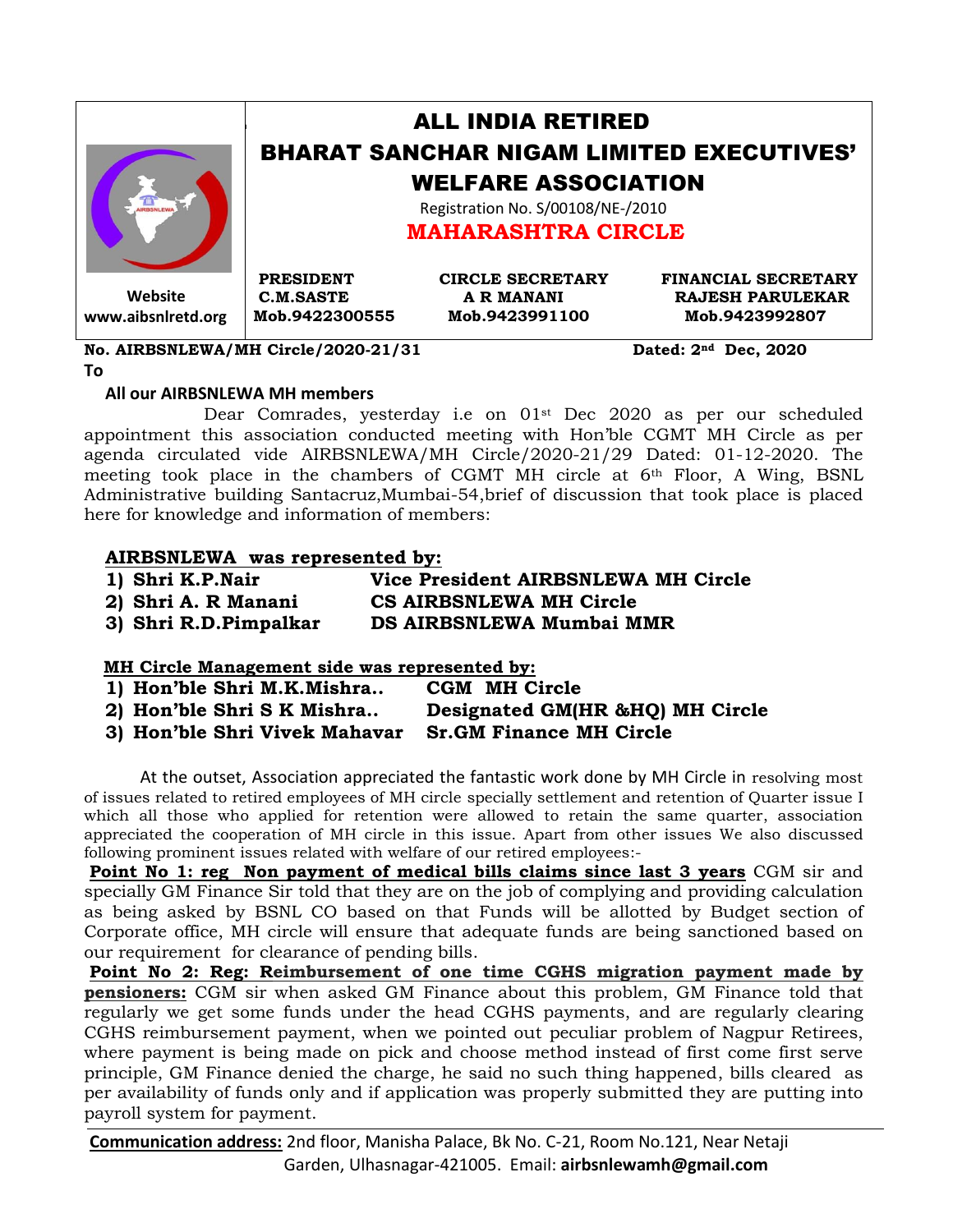|                    | <b>ALL INDIA RETIRED</b>                                                                     |                         |                            |  |
|--------------------|----------------------------------------------------------------------------------------------|-------------------------|----------------------------|--|
|                    | <b>BHARAT SANCHAR NIGAM LIMITED EXECUTIVES'</b>                                              |                         |                            |  |
|                    | <b>WELFARE ASSOCIATION</b><br>Registration No. S/00108/NE-/2010<br><b>MAHARASHTRA CIRCLE</b> |                         |                            |  |
|                    |                                                                                              |                         |                            |  |
|                    | <b>PRESIDENT</b>                                                                             | <b>CIRCLE SECRETARY</b> | <b>FINANCIAL SECRETARY</b> |  |
| Website            | <b>C.M.SASTE</b>                                                                             | <b>A R MANANI</b>       | <b>RAJESH PARULEKAR</b>    |  |
| www.aibsnlretd.org | Mob.9422300555                                                                               | Mob.9423991100          | Mob.9423992807             |  |

**No. AIRBSNLEWA/MH Circle/2020-21/31 Dated: 2nd Dec, 2020**

#### **To**

## **All our AIRBSNLEWA MH members**

 Dear Comrades, yesterday i.e on 01st Dec 2020 as per our scheduled appointment this association conducted meeting with Hon'ble CGMT MH Circle as per agenda circulated vide AIRBSNLEWA/MH Circle/2020-21/29 Dated: 01-12-2020. The meeting took place in the chambers of CGMT MH circle at 6th Floor, A Wing, BSNL Administrative building Santacruz,Mumbai-54,brief of discussion that took place is placed here for knowledge and information of members:

# **AIRBSNLEWA was represented by:**

| 1) Shri K.P.Nair   | Vice President AIRBSNLEWA MH Circle |
|--------------------|-------------------------------------|
| 2) Chei A D Mononi | CR AIDDRNI FWA MU Cirolo            |

**2) Shri A. R Manani CS AIRBSNLEWA MH Circle 3) Shri R.D.Pimpalkar DS AIRBSNLEWA Mumbai MMR** 

# **MH Circle Management side was represented by:**

| 1) Hon'ble Shri M.K.Mishra    | <b>CGM MH Circle</b>            |
|-------------------------------|---------------------------------|
| 2) Hon'ble Shri S K Mishra    | Designated GM(HR &HQ) MH Circle |
| 3) Hon'ble Shri Vivek Mahavar | <b>Sr.GM Finance MH Circle</b>  |

At the outset, Association appreciated the fantastic work done by MH Circle in resolving most of issues related to retired employees of MH circle specially settlement and retention of Quarter issue I which all those who applied for retention were allowed to retain the same quarter, association appreciated the cooperation of MH circle in this issue. Apart from other issues We also discussed following prominent issues related with welfare of our retired employees:-

**Point No 1: reg Non payment of medical bills claims since last 3 years** CGM sir and specially GM Finance Sir told that they are on the job of complying and providing calculation as being asked by BSNL CO based on that Funds will be allotted by Budget section of Corporate office, MH circle will ensure that adequate funds are being sanctioned based on our requirement for clearance of pending bills.

**Point No 2: Reg: Reimbursement of one time CGHS migration payment made by pensioners:** CGM sir when asked GM Finance about this problem, GM Finance told that regularly we get some funds under the head CGHS payments, and are regularly clearing CGHS reimbursement payment, when we pointed out peculiar problem of Nagpur Retirees, where payment is being made on pick and choose method instead of first come first serve principle, GM Finance denied the charge, he said no such thing happened, bills cleared as per availability of funds only and if application was properly submitted they are putting into payroll system for payment.

**Communication address:** 2nd floor, Manisha Palace, Bk No. C-21, Room No.121, Near Netaji Garden, Ulhasnagar-421005. Email: **airbsnlewamh@gmail.com**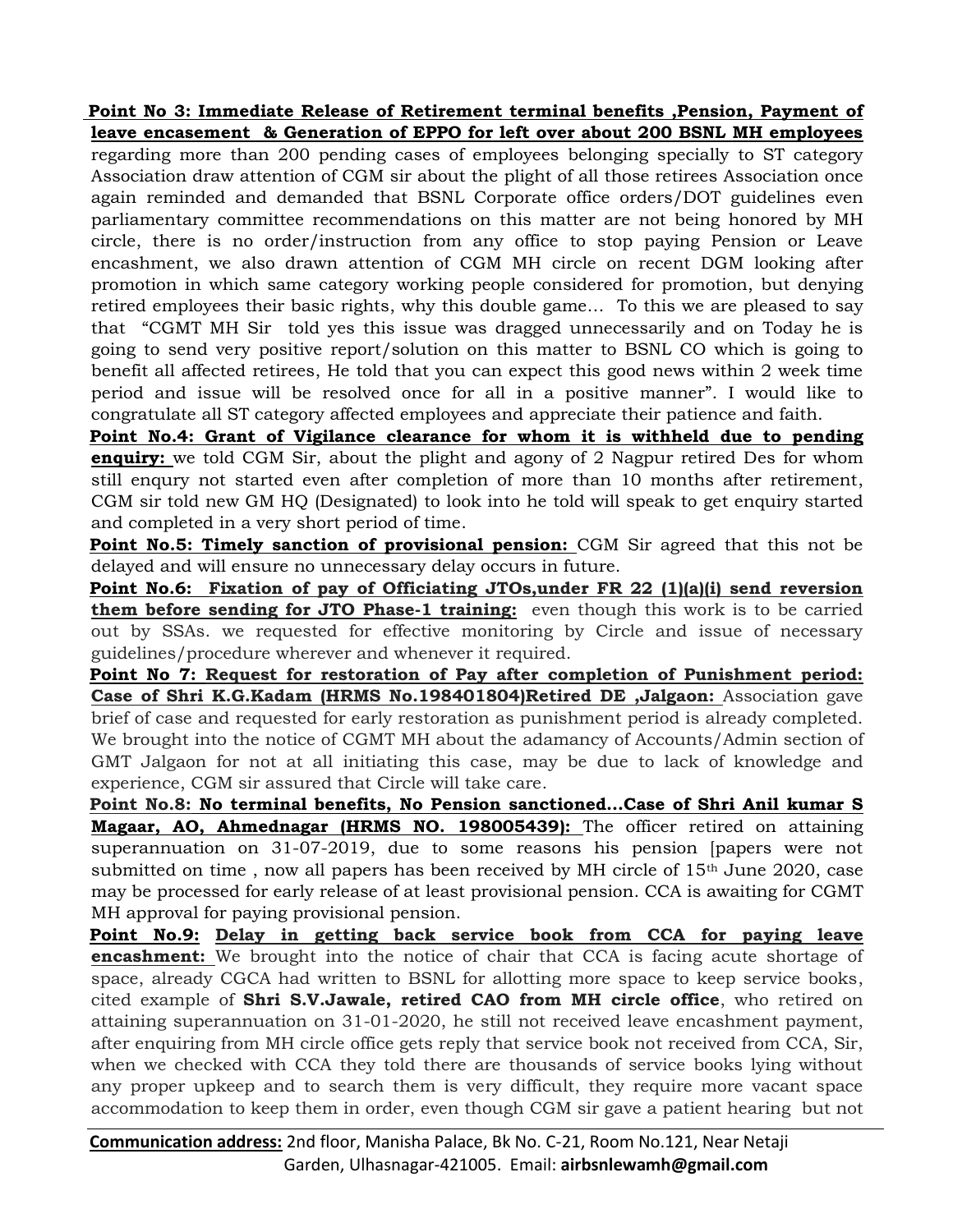## **Point No 3: Immediate Release of Retirement terminal benefits ,Pension, Payment of leave encasement & Generation of EPPO for left over about 200 BSNL MH employees**

regarding more than 200 pending cases of employees belonging specially to ST category Association draw attention of CGM sir about the plight of all those retirees Association once again reminded and demanded that BSNL Corporate office orders/DOT guidelines even parliamentary committee recommendations on this matter are not being honored by MH circle, there is no order/instruction from any office to stop paying Pension or Leave encashment, we also drawn attention of CGM MH circle on recent DGM looking after promotion in which same category working people considered for promotion, but denying retired employees their basic rights, why this double game… To this we are pleased to say that "CGMT MH Sir told yes this issue was dragged unnecessarily and on Today he is going to send very positive report/solution on this matter to BSNL CO which is going to benefit all affected retirees, He told that you can expect this good news within 2 week time period and issue will be resolved once for all in a positive manner". I would like to congratulate all ST category affected employees and appreciate their patience and faith.

**Point No.4: Grant of Vigilance clearance for whom it is withheld due to pending enquiry:** we told CGM Sir, about the plight and agony of 2 Nagpur retired Des for whom still enqury not started even after completion of more than 10 months after retirement, CGM sir told new GM HQ (Designated) to look into he told will speak to get enquiry started and completed in a very short period of time.

**Point No.5: Timely sanction of provisional pension:** CGM Sir agreed that this not be delayed and will ensure no unnecessary delay occurs in future.

**Point No.6: Fixation of pay of Officiating JTOs,under FR 22 (1)(a)(i) send reversion them before sending for JTO Phase-1 training:** even though this work is to be carried out by SSAs. we requested for effective monitoring by Circle and issue of necessary guidelines/procedure wherever and whenever it required.

**Point No 7: Request for restoration of Pay after completion of Punishment period: Case of Shri K.G.Kadam (HRMS No.198401804)Retired DE ,Jalgaon:** Association gave brief of case and requested for early restoration as punishment period is already completed. We brought into the notice of CGMT MH about the adamancy of Accounts/Admin section of GMT Jalgaon for not at all initiating this case, may be due to lack of knowledge and experience, CGM sir assured that Circle will take care.

**Point No.8: No terminal benefits, No Pension sanctioned…Case of Shri Anil kumar S Magaar, AO, Ahmednagar (HRMS NO. 198005439):** The officer retired on attaining superannuation on 31-07-2019, due to some reasons his pension [papers were not submitted on time, now all papers has been received by MH circle of  $15<sup>th</sup>$  June 2020, case may be processed for early release of at least provisional pension. CCA is awaiting for CGMT MH approval for paying provisional pension.

**Point No.9: Delay in getting back service book from CCA for paying leave encashment:** We brought into the notice of chair that CCA is facing acute shortage of space, already CGCA had written to BSNL for allotting more space to keep service books, cited example of **Shri S.V.Jawale, retired CAO from MH circle office**, who retired on attaining superannuation on 31-01-2020, he still not received leave encashment payment, after enquiring from MH circle office gets reply that service book not received from CCA, Sir, when we checked with CCA they told there are thousands of service books lying without any proper upkeep and to search them is very difficult, they require more vacant space accommodation to keep them in order, even though CGM sir gave a patient hearing but not

**Communication address:** 2nd floor, Manisha Palace, Bk No. C-21, Room No.121, Near Netaji Garden, Ulhasnagar-421005. Email: **airbsnlewamh@gmail.com**